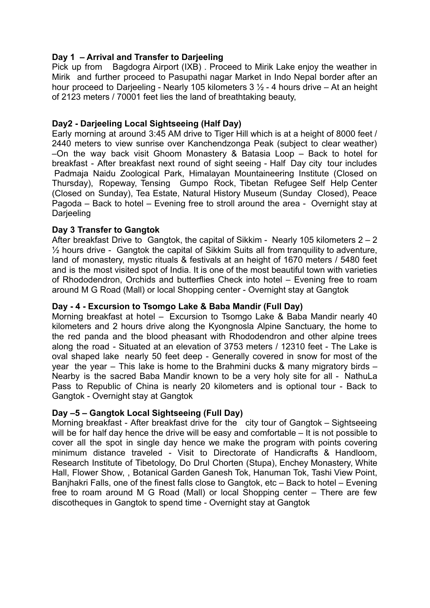# **Day 1 – Arrival and Transfer to Darjeeling**

Pick up from Bagdogra Airport (IXB) . Proceed to Mirik Lake enjoy the weather in Mirik and further proceed to Pasupathi nagar Market in Indo Nepal border after an hour proceed to Darjeeling - Nearly 105 kilometers  $3\frac{1}{2}$  - 4 hours drive – At an height of 2123 meters / 70001 feet lies the land of breathtaking beauty,

## **Day2 - Darjeeling Local Sightseeing (Half Day)**

Early morning at around 3:45 AM drive to Tiger Hill which is at a height of 8000 feet / 2440 meters to view sunrise over Kanchendzonga Peak (subject to clear weather) –On the way back visit Ghoom Monastery & Batasia Loop – Back to hotel for breakfast - After breakfast next round of sight seeing - Half Day city tour includes Padmaja Naidu Zoological Park, Himalayan Mountaineering Institute (Closed on Thursday), Ropeway, Tensing Gumpo Rock, Tibetan Refugee Self Help Center (Closed on Sunday), Tea Estate, Natural History Museum (Sunday Closed), Peace Pagoda – Back to hotel – Evening free to stroll around the area - Overnight stay at Darjeeling

### **Day 3 Transfer to Gangtok**

After breakfast Drive to Gangtok, the capital of Sikkim - Nearly 105 kilometers 2 – 2 ½ hours drive - Gangtok the capital of Sikkim Suits all from tranquility to adventure, land of monastery, mystic rituals & festivals at an height of 1670 meters / 5480 feet and is the most visited spot of India. It is one of the most beautiful town with varieties of Rhododendron, Orchids and butterflies Check into hotel – Evening free to roam around M G Road (Mall) or local Shopping center - Overnight stay at Gangtok

#### **Day - 4 - Excursion to Tsomgo Lake & Baba Mandir (Full Day)**

Morning breakfast at hotel – Excursion to Tsomgo Lake & Baba Mandir nearly 40 kilometers and 2 hours drive along the Kyongnosla Alpine Sanctuary, the home to the red panda and the blood pheasant with Rhododendron and other alpine trees along the road - Situated at an elevation of 3753 meters / 12310 feet - The Lake is oval shaped lake nearly 50 feet deep - Generally covered in snow for most of the year the year – This lake is home to the Brahmini ducks & many migratory birds – Nearby is the sacred Baba Mandir known to be a very holy site for all - NathuLa Pass to Republic of China is nearly 20 kilometers and is optional tour - Back to Gangtok - Overnight stay at Gangtok

### **Day –5 – Gangtok Local Sightseeing (Full Day)**

Morning breakfast - After breakfast drive for the city tour of Gangtok – Sightseeing will be for half day hence the drive will be easy and comfortable – It is not possible to cover all the spot in single day hence we make the program with points covering minimum distance traveled - Visit to Directorate of Handicrafts & Handloom, Research Institute of Tibetology, Do Drul Chorten (Stupa), Enchey Monastery, White Hall, Flower Show, , Botanical Garden Ganesh Tok, Hanuman Tok, Tashi View Point, Banjhakri Falls, one of the finest falls close to Gangtok, etc – Back to hotel – Evening free to roam around M G Road (Mall) or local Shopping center – There are few discotheques in Gangtok to spend time - Overnight stay at Gangtok